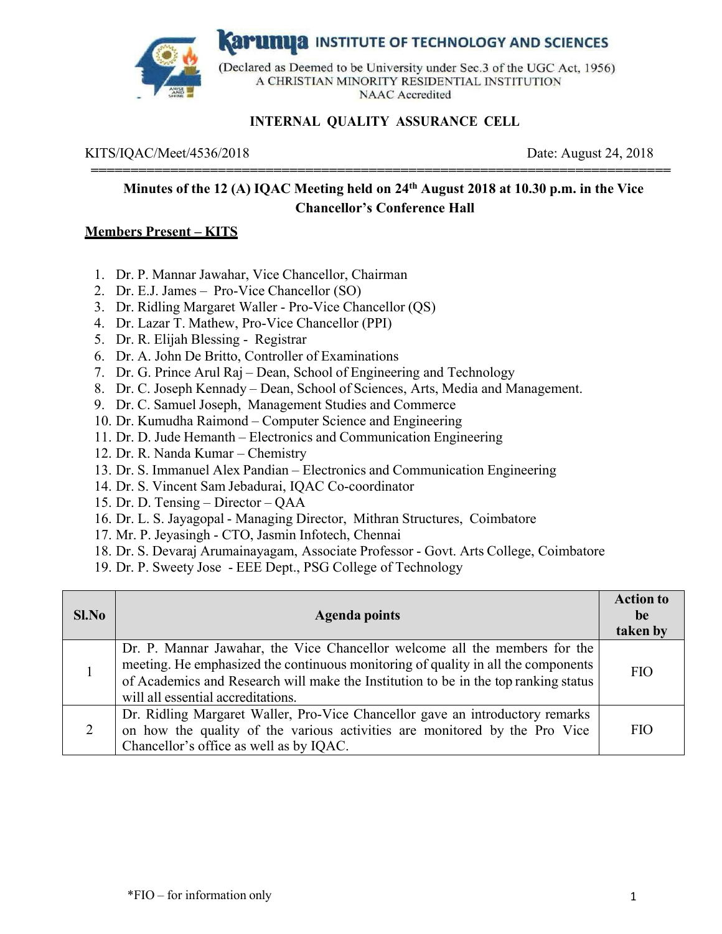

**Karunua** INSTITUTE OF TECHNOLOGY AND SCIENCES

(Declared as Deemed to be University under Sec.3 of the UGC Act, 1956) A CHRISTIAN MINORITY RESIDENTIAL INSTITUTION **NAAC** Accredited

## **INTERNAL QUALITY ASSURANCE CELL**

#### KITS/IQAC/Meet/4536/2018 Date: August 24, 2018

## **Minutes of the 12 (A) IQAC Meeting held on 24th August 2018 at 10.30 p.m. in the Vice Chancellor's Conference Hall**

**=========================================================================** 

#### **Members Present – KITS**

- 1. Dr. P. Mannar Jawahar, Vice Chancellor, Chairman
- 2. Dr. E.J. James Pro-Vice Chancellor (SO)
- 3. Dr. Ridling Margaret Waller Pro-Vice Chancellor (QS)
- 4. Dr. Lazar T. Mathew, Pro-Vice Chancellor (PPI)
- 5. Dr. R. Elijah Blessing Registrar
- 6. Dr. A. John De Britto, Controller of Examinations
- 7. Dr. G. Prince Arul Raj Dean, School of Engineering and Technology
- 8. Dr. C. Joseph Kennady Dean, School of Sciences, Arts, Media and Management.
- 9. Dr. C. Samuel Joseph, Management Studies and Commerce
- 10. Dr. Kumudha Raimond Computer Science and Engineering
- 11. Dr. D. Jude Hemanth Electronics and Communication Engineering
- 12. Dr. R. Nanda Kumar Chemistry
- 13. Dr. S. Immanuel Alex Pandian Electronics and Communication Engineering
- 14. Dr. S. Vincent Sam Jebadurai, IQAC Co-coordinator
- 15. Dr. D. Tensing Director QAA
- 16. Dr. L. S. Jayagopal Managing Director, Mithran Structures, Coimbatore
- 17. Mr. P. Jeyasingh CTO, Jasmin Infotech, Chennai
- 18. Dr. S. Devaraj Arumainayagam, Associate Professor Govt. Arts College, Coimbatore
- 19. Dr. P. Sweety Jose EEE Dept., PSG College of Technology

| Sl.No | <b>Agenda points</b>                                                                                                                                                                                                                                                                         | <b>Action to</b><br>be<br>taken by |
|-------|----------------------------------------------------------------------------------------------------------------------------------------------------------------------------------------------------------------------------------------------------------------------------------------------|------------------------------------|
|       | Dr. P. Mannar Jawahar, the Vice Chancellor welcome all the members for the<br>meeting. He emphasized the continuous monitoring of quality in all the components<br>of Academics and Research will make the Institution to be in the top ranking status<br>will all essential accreditations. | <b>FIO</b>                         |
| 2     | Dr. Ridling Margaret Waller, Pro-Vice Chancellor gave an introductory remarks<br>on how the quality of the various activities are monitored by the Pro Vice<br>Chancellor's office as well as by IQAC.                                                                                       | <b>FIO</b>                         |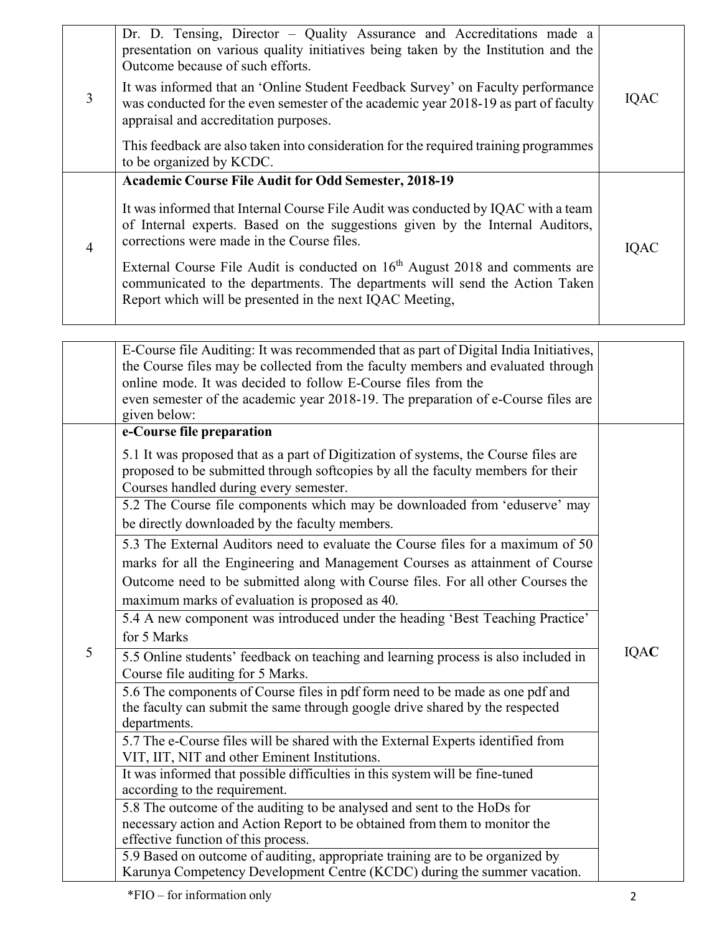|   | Dr. D. Tensing, Director - Quality Assurance and Accreditations made a<br>presentation on various quality initiatives being taken by the Institution and the<br>Outcome because of such efforts.                                    |             |
|---|-------------------------------------------------------------------------------------------------------------------------------------------------------------------------------------------------------------------------------------|-------------|
| 3 | It was informed that an 'Online Student Feedback Survey' on Faculty performance<br>was conducted for the even semester of the academic year 2018-19 as part of faculty<br>appraisal and accreditation purposes.                     | <b>IQAC</b> |
|   | This feedback are also taken into consideration for the required training programmes<br>to be organized by KCDC.                                                                                                                    |             |
|   | <b>Academic Course File Audit for Odd Semester, 2018-19</b>                                                                                                                                                                         |             |
| 4 | It was informed that Internal Course File Audit was conducted by IQAC with a team<br>of Internal experts. Based on the suggestions given by the Internal Auditors,<br>corrections were made in the Course files.                    | IQAC        |
|   | External Course File Audit is conducted on 16 <sup>th</sup> August 2018 and comments are<br>communicated to the departments. The departments will send the Action Taken<br>Report which will be presented in the next IQAC Meeting, |             |
|   |                                                                                                                                                                                                                                     |             |

|   | E-Course file Auditing: It was recommended that as part of Digital India Initiatives,<br>the Course files may be collected from the faculty members and evaluated through<br>online mode. It was decided to follow E-Course files from the<br>even semester of the academic year 2018-19. The preparation of e-Course files are<br>given below: |             |
|---|-------------------------------------------------------------------------------------------------------------------------------------------------------------------------------------------------------------------------------------------------------------------------------------------------------------------------------------------------|-------------|
|   | e-Course file preparation                                                                                                                                                                                                                                                                                                                       |             |
|   | 5.1 It was proposed that as a part of Digitization of systems, the Course files are<br>proposed to be submitted through softcopies by all the faculty members for their<br>Courses handled during every semester.                                                                                                                               |             |
|   | 5.2 The Course file components which may be downloaded from 'eduserve' may                                                                                                                                                                                                                                                                      |             |
|   | be directly downloaded by the faculty members.                                                                                                                                                                                                                                                                                                  |             |
|   | 5.3 The External Auditors need to evaluate the Course files for a maximum of 50<br>marks for all the Engineering and Management Courses as attainment of Course                                                                                                                                                                                 |             |
|   | Outcome need to be submitted along with Course files. For all other Courses the                                                                                                                                                                                                                                                                 |             |
|   | maximum marks of evaluation is proposed as 40.                                                                                                                                                                                                                                                                                                  |             |
|   | 5.4 A new component was introduced under the heading 'Best Teaching Practice'                                                                                                                                                                                                                                                                   |             |
|   | for 5 Marks                                                                                                                                                                                                                                                                                                                                     |             |
| 5 | 5.5 Online students' feedback on teaching and learning process is also included in<br>Course file auditing for 5 Marks.                                                                                                                                                                                                                         | <b>IQAC</b> |
|   | 5.6 The components of Course files in pdf form need to be made as one pdf and                                                                                                                                                                                                                                                                   |             |
|   | the faculty can submit the same through google drive shared by the respected<br>departments.                                                                                                                                                                                                                                                    |             |
|   | 5.7 The e-Course files will be shared with the External Experts identified from<br>VIT, IIT, NIT and other Eminent Institutions.                                                                                                                                                                                                                |             |
|   | It was informed that possible difficulties in this system will be fine-tuned<br>according to the requirement.                                                                                                                                                                                                                                   |             |
|   | 5.8 The outcome of the auditing to be analysed and sent to the HoDs for<br>necessary action and Action Report to be obtained from them to monitor the<br>effective function of this process.                                                                                                                                                    |             |
|   | 5.9 Based on outcome of auditing, appropriate training are to be organized by                                                                                                                                                                                                                                                                   |             |
|   | Karunya Competency Development Centre (KCDC) during the summer vacation.                                                                                                                                                                                                                                                                        |             |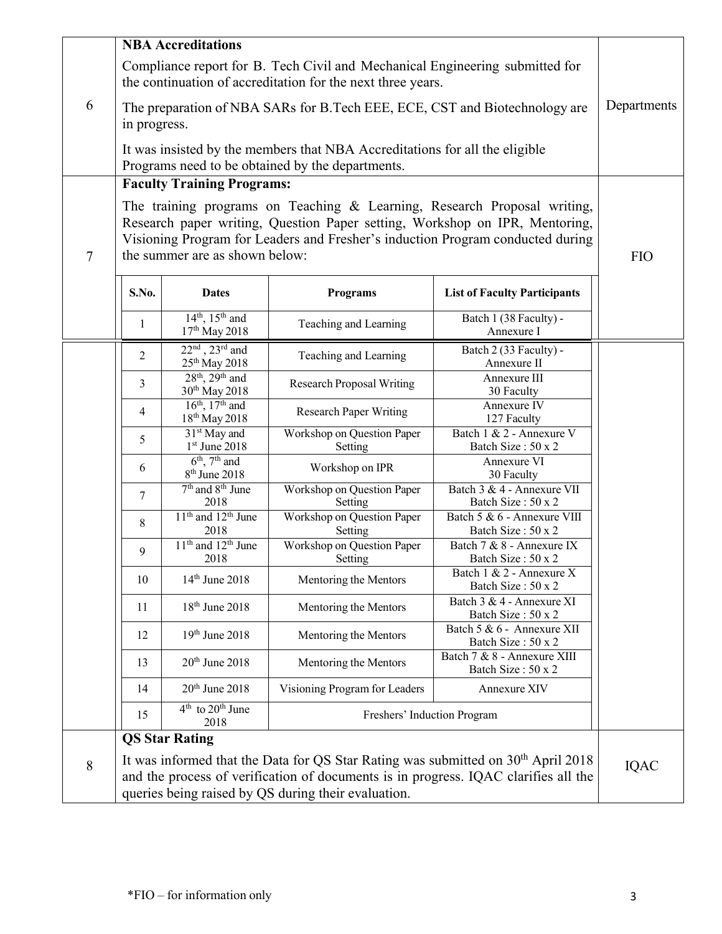|                | <b>NBA</b> Accreditations                                                                                                                                                                                                                                                   |                                                         |                                       |                                                   |            |
|----------------|-----------------------------------------------------------------------------------------------------------------------------------------------------------------------------------------------------------------------------------------------------------------------------|---------------------------------------------------------|---------------------------------------|---------------------------------------------------|------------|
|                | Compliance report for B. Tech Civil and Mechanical Engineering submitted for<br>the continuation of accreditation for the next three years.                                                                                                                                 |                                                         |                                       |                                                   |            |
| 6              | The preparation of NBA SARs for B.Tech EEE, ECE, CST and Biotechnology are<br>in progress.                                                                                                                                                                                  |                                                         |                                       | Departments                                       |            |
|                | It was insisted by the members that NBA Accreditations for all the eligible<br>Programs need to be obtained by the departments.                                                                                                                                             |                                                         |                                       |                                                   |            |
|                | <b>Faculty Training Programs:</b>                                                                                                                                                                                                                                           |                                                         |                                       |                                                   |            |
| $\overline{7}$ | The training programs on Teaching & Learning, Research Proposal writing,<br>Research paper writing, Question Paper setting, Workshop on IPR, Mentoring,<br>Visioning Program for Leaders and Fresher's induction Program conducted during<br>the summer are as shown below: |                                                         |                                       |                                                   | <b>FIO</b> |
|                | S.No.                                                                                                                                                                                                                                                                       | <b>Dates</b>                                            | <b>Programs</b>                       | <b>List of Faculty Participants</b>               |            |
|                | $\mathbf{1}$                                                                                                                                                                                                                                                                | $14^{th}$ , $15^{th}$ and<br>17th May 2018              | Teaching and Learning                 | Batch 1 (38 Faculty) -<br>Annexure I              |            |
|                | $\overline{2}$                                                                                                                                                                                                                                                              | $22nd$ , $23rd$ and<br>$25^{\rm th}\, {\rm May}\, 2018$ | Teaching and Learning                 | Batch 2 (33 Faculty) -<br>Annexure II             |            |
|                | 3                                                                                                                                                                                                                                                                           | $28th$ , $29th$ and<br>30 <sup>th</sup> May 2018        | <b>Research Proposal Writing</b>      | Annexure III<br>30 Faculty                        |            |
|                | 4                                                                                                                                                                                                                                                                           | $16^{th}$ , $17^{th}$ and<br>18 <sup>th</sup> May 2018  | <b>Research Paper Writing</b>         | Annexure IV<br>127 Faculty                        |            |
|                | 5                                                                                                                                                                                                                                                                           | 31 <sup>st</sup> May and<br>$1st$ June 2018             | Workshop on Question Paper<br>Setting | Batch 1 & 2 - Annexure V<br>Batch Size: 50 x 2    |            |
|                | 6                                                                                                                                                                                                                                                                           | $6th$ , $7th$ and<br>8 <sup>th</sup> June 2018          | Workshop on IPR                       | Annexure VI<br>30 Faculty                         |            |
|                | 7                                                                                                                                                                                                                                                                           | 7 <sup>th</sup> and 8 <sup>th</sup> June<br>2018        | Workshop on Question Paper<br>Setting | Batch 3 & 4 - Annexure VII<br>Batch Size: 50 x 2  |            |
|                | 8                                                                                                                                                                                                                                                                           | $11th$ and $12th$ June<br>2018                          | Workshop on Question Paper<br>Setting | Batch 5 & 6 - Annexure VIII<br>Batch Size: 50 x 2 |            |
|                | 9                                                                                                                                                                                                                                                                           | $11th$ and $12th$ June<br>2018                          | Workshop on Question Paper<br>Setting | Batch 7 & 8 - Annexure IX<br>Batch Size : 50 x 2  |            |
|                | 10                                                                                                                                                                                                                                                                          | 14 <sup>th</sup> June 2018                              | Mentoring the Mentors                 | Batch 1 & 2 - Annexure X<br>Batch Size: 50 x 2    |            |
|                | 11                                                                                                                                                                                                                                                                          | 18 <sup>th</sup> June 2018                              | Mentoring the Mentors                 | Batch 3 & 4 - Annexure XI<br>Batch Size: 50 x 2   |            |
|                | 12                                                                                                                                                                                                                                                                          | 19th June 2018                                          | Mentoring the Mentors                 | Batch 5 & 6 - Annexure XII<br>Batch Size: 50 x 2  |            |
|                | 13                                                                                                                                                                                                                                                                          | $20th$ June $2018$                                      | Mentoring the Mentors                 | Batch 7 & 8 - Annexure XIII<br>Batch Size: 50 x 2 |            |
|                | 14                                                                                                                                                                                                                                                                          | $20th$ June $2018$                                      | Visioning Program for Leaders         | Annexure XIV                                      |            |
|                | 4 <sup>th</sup> to 20 <sup>th</sup> June<br>Freshers' Induction Program<br>15<br>2018                                                                                                                                                                                       |                                                         |                                       |                                                   |            |
|                |                                                                                                                                                                                                                                                                             | <b>QS Star Rating</b>                                   |                                       |                                                   |            |
| 8              | It was informed that the Data for QS Star Rating was submitted on 30 <sup>th</sup> April 2018<br>and the process of verification of documents is in progress. IQAC clarifies all the<br>queries being raised by QS during their evaluation.                                 |                                                         |                                       | <b>IQAC</b>                                       |            |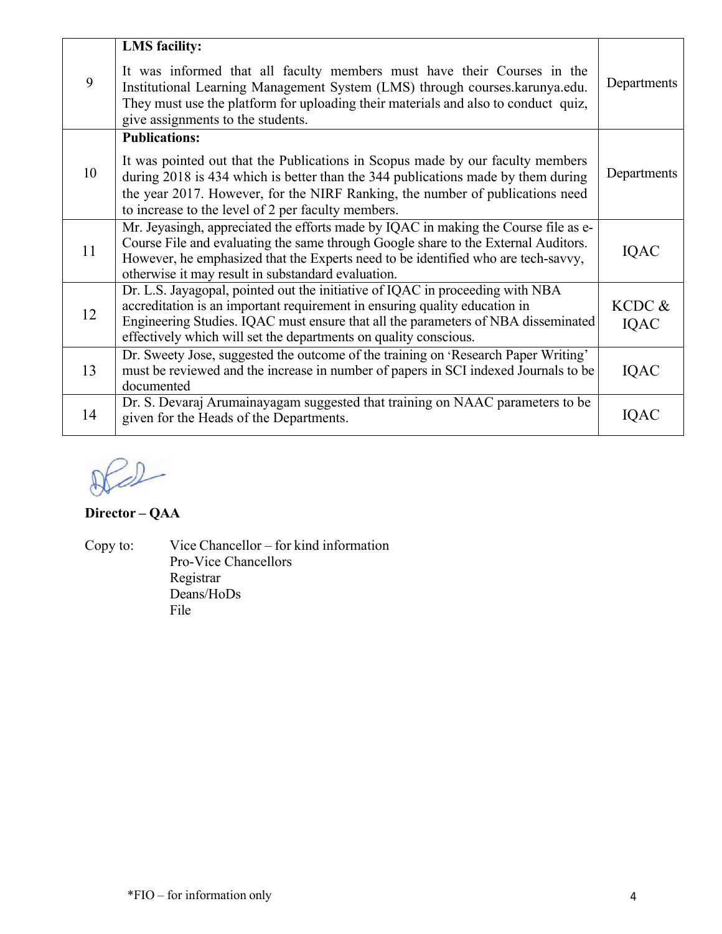| 9  | <b>LMS</b> facility:<br>It was informed that all faculty members must have their Courses in the<br>Institutional Learning Management System (LMS) through courses.karunya.edu.<br>They must use the platform for uploading their materials and also to conduct quiz,<br>give assignments to the students.            | Departments |
|----|----------------------------------------------------------------------------------------------------------------------------------------------------------------------------------------------------------------------------------------------------------------------------------------------------------------------|-------------|
|    | <b>Publications:</b>                                                                                                                                                                                                                                                                                                 |             |
| 10 | It was pointed out that the Publications in Scopus made by our faculty members<br>during 2018 is 434 which is better than the 344 publications made by them during<br>the year 2017. However, for the NIRF Ranking, the number of publications need<br>to increase to the level of 2 per faculty members.            | Departments |
| 11 | Mr. Jeyasingh, appreciated the efforts made by IQAC in making the Course file as e-<br>Course File and evaluating the same through Google share to the External Auditors.<br>However, he emphasized that the Experts need to be identified who are tech-savvy,<br>otherwise it may result in substandard evaluation. |             |
|    | Dr. L.S. Jayagopal, pointed out the initiative of IQAC in proceeding with NBA<br>accreditation is an important requirement in ensuring quality education in                                                                                                                                                          | KCDC &      |
| 12 | Engineering Studies. IQAC must ensure that all the parameters of NBA disseminated<br>effectively which will set the departments on quality conscious.                                                                                                                                                                | IQAC        |
| 13 | Dr. Sweety Jose, suggested the outcome of the training on 'Research Paper Writing'<br>must be reviewed and the increase in number of papers in SCI indexed Journals to be<br>documented                                                                                                                              | IQAC        |
| 14 | Dr. S. Devaraj Arumainayagam suggested that training on NAAC parameters to be<br>given for the Heads of the Departments.                                                                                                                                                                                             | IQAC        |

 $20-$ 

**Director – QAA** 

Copy to: Vice Chancellor – for kind information Pro-Vice Chancellors Registrar Deans/HoDs File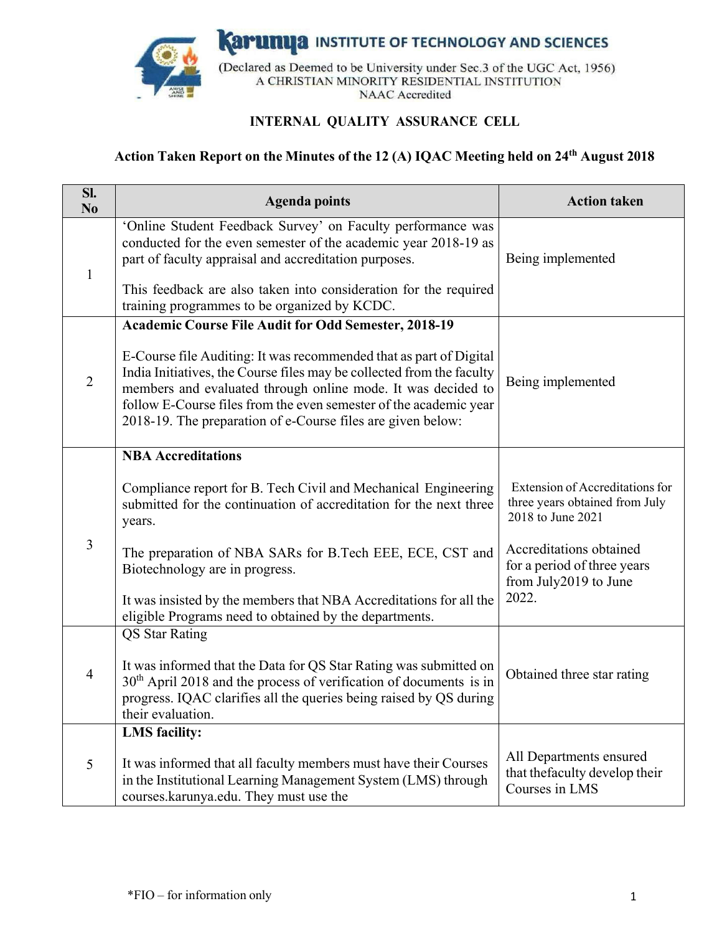

**Karunya INSTITUTE OF TECHNOLOGY AND SCIENCES** 

(Declared as Deemed to be University under Sec.3 of the UGC Act, 1956) A CHRISTIAN MINORITY RESIDENTIAL INSTITUTION **NAAC** Accredited

# **INTERNAL QUALITY ASSURANCE CELL**

# Action Taken Report on the Minutes of the 12 (A) IQAC Meeting held on 24<sup>th</sup> August 2018

| SI.<br>N <sub>0</sub> | <b>Agenda points</b>                                                                                                                                                                                                                                                                                                                                                                                           | <b>Action taken</b>                                                                                                                                                                |
|-----------------------|----------------------------------------------------------------------------------------------------------------------------------------------------------------------------------------------------------------------------------------------------------------------------------------------------------------------------------------------------------------------------------------------------------------|------------------------------------------------------------------------------------------------------------------------------------------------------------------------------------|
| $\mathbf{1}$          | 'Online Student Feedback Survey' on Faculty performance was<br>conducted for the even semester of the academic year 2018-19 as<br>part of faculty appraisal and accreditation purposes.<br>This feedback are also taken into consideration for the required<br>training programmes to be organized by KCDC.                                                                                                    | Being implemented                                                                                                                                                                  |
| $\overline{2}$        | <b>Academic Course File Audit for Odd Semester, 2018-19</b><br>E-Course file Auditing: It was recommended that as part of Digital<br>India Initiatives, the Course files may be collected from the faculty<br>members and evaluated through online mode. It was decided to<br>follow E-Course files from the even semester of the academic year<br>2018-19. The preparation of e-Course files are given below: | Being implemented                                                                                                                                                                  |
| $\overline{3}$        | <b>NBA</b> Accreditations<br>Compliance report for B. Tech Civil and Mechanical Engineering<br>submitted for the continuation of accreditation for the next three<br>years.<br>The preparation of NBA SARs for B.Tech EEE, ECE, CST and<br>Biotechnology are in progress.<br>It was insisted by the members that NBA Accreditations for all the<br>eligible Programs need to obtained by the departments.      | Extension of Accreditations for<br>three years obtained from July<br>2018 to June 2021<br>Accreditations obtained<br>for a period of three years<br>from July2019 to June<br>2022. |
| $\overline{4}$        | <b>QS</b> Star Rating<br>It was informed that the Data for QS Star Rating was submitted on<br>$30th$ April 2018 and the process of verification of documents is in<br>progress. IQAC clarifies all the queries being raised by QS during<br>their evaluation.                                                                                                                                                  | Obtained three star rating                                                                                                                                                         |
| 5                     | <b>LMS</b> facility:<br>It was informed that all faculty members must have their Courses<br>in the Institutional Learning Management System (LMS) through<br>courses.karunya.edu. They must use the                                                                                                                                                                                                            | All Departments ensured<br>that the faculty develop their<br>Courses in LMS                                                                                                        |